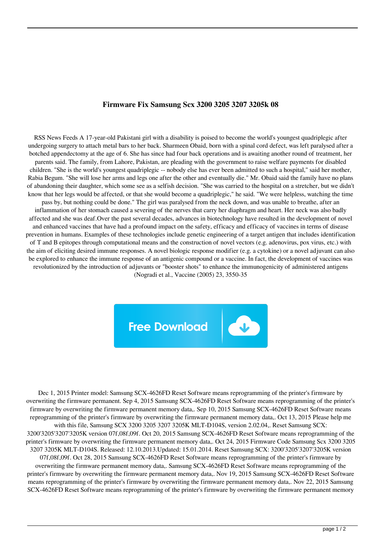## **Firmware Fix Samsung Scx 3200 3205 3207 3205k 08**

RSS News Feeds A 17-year-old Pakistani girl with a disability is poised to become the world's youngest quadriplegic after undergoing surgery to attach metal bars to her back. Sharmeen Obaid, born with a spinal cord defect, was left paralysed after a botched appendectomy at the age of 6. She has since had four back operations and is awaiting another round of treatment, her parents said. The family, from Lahore, Pakistan, are pleading with the government to raise welfare payments for disabled children. "She is the world's youngest quadriplegic -- nobody else has ever been admitted to such a hospital," said her mother, Rabia Begum. "She will lose her arms and legs one after the other and eventually die." Mr. Obaid said the family have no plans of abandoning their daughter, which some see as a selfish decision. "She was carried to the hospital on a stretcher, but we didn't know that her legs would be affected, or that she would become a quadriplegic," he said. "We were helpless, watching the time pass by, but nothing could be done." The girl was paralysed from the neck down, and was unable to breathe, after an inflammation of her stomach caused a severing of the nerves that carry her diaphragm and heart. Her neck was also badly affected and she was deaf.Over the past several decades, advances in biotechnology have resulted in the development of novel and enhanced vaccines that have had a profound impact on the safety, efficacy and efficacy of vaccines in terms of disease prevention in humans. Examples of these technologies include genetic engineering of a target antigen that includes identification of T and B epitopes through computational means and the construction of novel vectors (e.g. adenovirus, pox virus, etc.) with the aim of eliciting desired immune responses. A novel biologic response modifier (e.g. a cytokine) or a novel adjuvant can also be explored to enhance the immune response of an antigenic compound or a vaccine. In fact, the development of vaccines was revolutionized by the introduction of adjuvants or "booster shots" to enhance the immunogenicity of administered antigens





Dec 1, 2015 Printer model: Samsung SCX-4626FD Reset Software means reprogramming of the printer's firmware by overwriting the firmware permanent. Sep 4, 2015 Samsung SCX-4626FD Reset Software means reprogramming of the printer's firmware by overwriting the firmware permanent memory data,. Sep 10, 2015 Samsung SCX-4626FD Reset Software means reprogramming of the printer's firmware by overwriting the firmware permanent memory data,. Oct 13, 2015 Please help me with this file, Samsung SCX 3200 3205 3207 3205K MLT-D104S, version 2.02.04,. Reset Samsung SCX: 3200'3205'3207'3205K version 07f,08f,09f. Oct 20, 2015 Samsung SCX-4626FD Reset Software means reprogramming of the printer's firmware by overwriting the firmware permanent memory data,. Oct 24, 2015 Firmware Code Samsung Scx 3200 3205 3207 3205K MLT-D104S. Released: 12.10.2013.Updated: 15.01.2014. Reset Samsung SCX: 3200'3205'3207'3205K version 07f,08f,09f. Oct 28, 2015 Samsung SCX-4626FD Reset Software means reprogramming of the printer's firmware by overwriting the firmware permanent memory data,. Samsung SCX-4626FD Reset Software means reprogramming of the printer's firmware by overwriting the firmware permanent memory data,. Nov 19, 2015 Samsung SCX-4626FD Reset Software means reprogramming of the printer's firmware by overwriting the firmware permanent memory data,. Nov 22, 2015 Samsung SCX-4626FD Reset Software means reprogramming of the printer's firmware by overwriting the firmware permanent memory